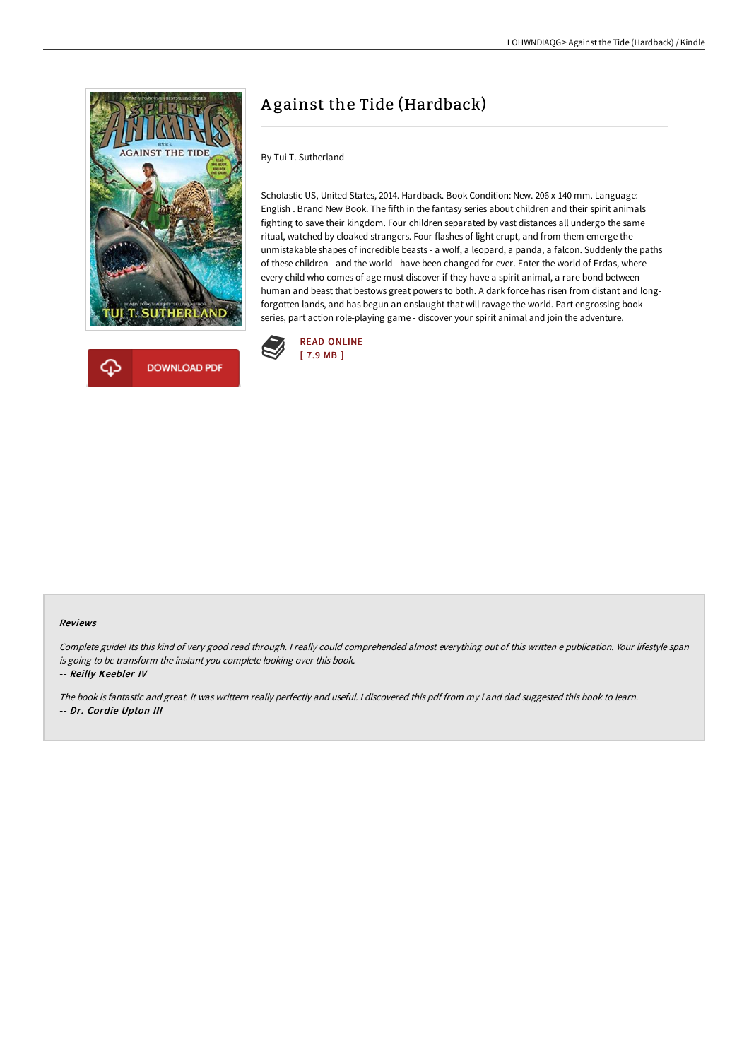

## A gainst the Tide (Hardback)

By Tui T. Sutherland

Scholastic US, United States, 2014. Hardback. Book Condition: New. 206 x 140 mm. Language: English . Brand New Book. The fifth in the fantasy series about children and their spirit animals fighting to save their kingdom. Four children separated by vast distances all undergo the same ritual, watched by cloaked strangers. Four flashes of light erupt, and from them emerge the unmistakable shapes of incredible beasts - a wolf, a leopard, a panda, a falcon. Suddenly the paths of these children - and the world - have been changed for ever. Enter the world of Erdas, where every child who comes of age must discover if they have a spirit animal, a rare bond between human and beast that bestows great powers to both. A dark force has risen from distant and longforgotten lands, and has begun an onslaught that will ravage the world. Part engrossing book series, part action role-playing game - discover your spirit animal and join the adventure.



## Reviews

Complete guide! Its this kind of very good read through. <sup>I</sup> really could comprehended almost everything out of this written <sup>e</sup> publication. Your lifestyle span is going to be transform the instant you complete looking over this book.

-- Reilly Keebler IV

The book is fantastic and great. it was writtern really perfectly and useful. <sup>I</sup> discovered this pdf from my i and dad suggested this book to learn. -- Dr. Cordie Upton III